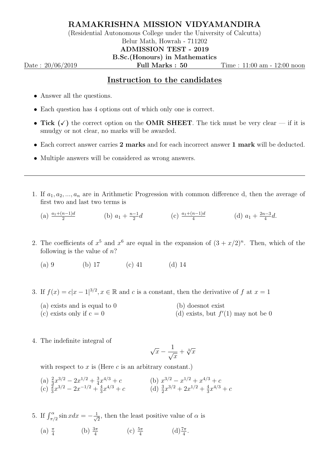## RAMAKRISHNA MISSION VIDYAMANDIRA

(Residential Autonomous College under the University of Calcutta)

## Belur Math, Howrah - 711202

## ADMISSION TEST - 2019

B.Sc.(Honours) in Mathematics Date : 20/06/2019 **Full Marks : 50** Time : 11:00 am - 12:00 noon

## Instruction to the candidates

- Answer all the questions.
- Each question has 4 options out of which only one is correct.
- Tick  $(\checkmark)$  the correct option on the **OMR SHEET**. The tick must be very clear if it is smudgy or not clear, no marks will be awarded.
- Each correct answer carries 2 marks and for each incorrect answer 1 mark will be deducted.
- Multiple answers will be considered as wrong answers.
- 1. If  $a_1, a_2, ..., a_n$  are in Arithmetic Progression with common difference d, then the average of first two and last two terms is

(a)  $\frac{a_1 + (n-1)d}{2}$  (b)  $a_1 + \frac{n-1}{2}$  $\frac{-1}{2}d$  (c)  $\frac{a_1+(n-1)d}{4}$  (d)  $a_1+\frac{2n-3}{4}$  $\frac{a-3}{4}d$ .

2. The coefficients of  $x^5$  and  $x^6$  are equal in the expansion of  $(3 + x/2)^n$ . Then, which of the following is the value of  $n$ ?

(a) 9 (b) 17 (c) 41 (d) 14

- 3. If  $f(x) = c|x-1|^{3/2}, x \in \mathbb{R}$  and c is a constant, then the derivative of f at  $x = 1$ 
	- (a) exists and is equal to 0 (b) doesnot exist
	- (c) exists only if  $c = 0$  $'(1)$  may not be 0
- 4. The indefinite integral of

$$
\sqrt{x} - \frac{1}{\sqrt{x}} + \sqrt[3]{x}
$$

with respect to  $x$  is (Here  $c$  is an arbitrary constant.)

- (a)  $\frac{2}{3}x^{3/2} 2x^{1/2} + \frac{3}{4}$  $\frac{3}{4}x^{4/3} + c$  (b)  $x^{3/2} - x^{1/2} + x^{4/3} + c$ (c)  $\frac{3}{3}x^{3/2} - 2x^{-1/2} + \frac{4}{3}$  $\frac{4}{3}x^{4/3} + c$  (d)  $\frac{3}{2}x^{3/2} + 2x^{1/2} + \frac{4}{3}$  $\frac{4}{3}x^{4/3} + c$
- 5. If  $\int_{\pi/2}^{\alpha} \sin x dx = -\frac{1}{\sqrt{2}}$  $\frac{1}{2}$ , then the least positive value of  $\alpha$  is
	- (a)  $\frac{\pi}{4}$  (b)  $\frac{3\pi}{4}$  (c)  $\frac{5\pi}{4}$  (d)  $\frac{7\pi}{4}$ .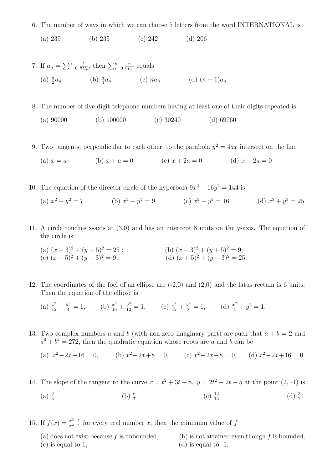6. The number of ways in which we can choose 5 letters from the word INTERNATIONAL is

(a) 239 (b) 235 (c) 242 (d) 206

7. If 
$$
a_n = \sum_{r=0}^n \frac{1}{nC_r}
$$
, then  $\sum_{r=0}^n \frac{r}{nC_r}$  equals  
\n(a)  $\frac{n}{2}a_n$  (b)  $\frac{n}{4}a_n$  (c)  $na_n$  (d)  $(n-1)a_n$ 

- 8. The number of five-digit telephone numbers having at least one of their digits repeated is
	- (a) 90000 (b) 100000 (c) 30240 (d) 69760
- 9. Two tangents, perpendicular to each other, to the parabola  $y^2 = 4ax$  intersect on the line

(a) 
$$
x = a
$$
 (b)  $x + a = 0$  (c)  $x + 2a = 0$  (d)  $x - 2a = 0$ 

- 10. The equation of the director circle of the hyperbola  $9x^2 16y^2 = 144$  is
	- (a)  $x^2 + y^2 = 7$  (b)  $x^2 + y^2 = 9$  (c)  $x^2 + y^2 = 16$  (d)  $x^2 + y^2 = 25$
- 11. A circle touches x-axis at (3,0) and has an intercept 8 units on the y-axis. The equation of the circle is
	- (a)  $(x-3)^2 + (y-5)^2 = 25$ ; (b)  $(x-3)^2 + (y+5)^2 = 9$ ; (c)  $(x-5)^2 + (y-3)^2 = 9$ ; (d)  $(x+5)^2 + (y-3)^2 = 25$ .
- 12. The coordinates of the foci of an ellipse are (-2,0) and (2,0) and the latus rectum is 6 units. Then the equation of the ellipse is
	- (a)  $\frac{x^2}{12} + \frac{y^2}{4} = 1$ , (b)  $\frac{x^2}{16} + \frac{y^2}{12} = 1$ , (c)  $\frac{x^2}{12} + \frac{y^2}{8} = 1$ , (d)  $\frac{x^2}{4} + y^2 = 1$ .
- 13. Two complex numbers a and b (with non-zero imaginary part) are such that  $a + b = 2$  and  $a^4 + b^4 = 272$ , then the quadratic equation whose roots are a and b can be
	- (a)  $x^2 2x 16 = 0$ , (b)  $x^2 2x + 8 = 0$ , (c)  $x^2 2x 8 = 0$ , (d)  $x^2 2x + 16 = 0$ .
- 14. The slope of the tangent to the curve  $x = t^2 + 3t 8$ ,  $y = 2t^2 2t 5$  at the point  $(2, -1)$  is
	- $(a) \frac{2}{3}$ (b)  $\frac{6}{7}$ (c)  $\frac{12}{12}$  $\frac{12}{13}$  (d)  $\frac{3}{2}$ .
- 15. If  $f(x) = \frac{x^2-1}{x^2+1}$  for every real number x, then the minimum value of f
	- (a) does not exist because f is unbounded, (b) is not attained even though f is bounded, (c) is equal to 1,  $(d)$  is equal to -1.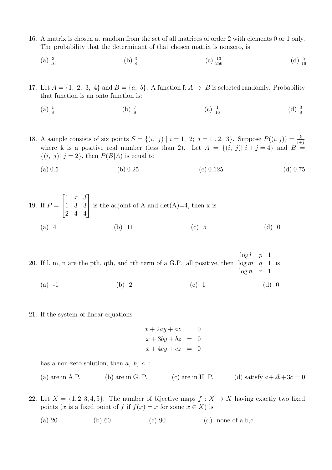- 16. A matrix is chosen at random from the set of all matrices of order 2 with elements 0 or 1 only. The probability that the determinant of that chosen matrix is nonzero, is
	- $(a) \frac{3}{16}$  $\frac{3}{16}$  (b)  $\frac{3}{8}$ (c)  $\frac{13}{256}$  $\frac{13}{256}$  (d)  $\frac{5}{16}$
- 17. Let  $A = \{1, 2, 3, 4\}$  and  $B = \{a, b\}$ . A function f:  $A \rightarrow B$  is selected randomly. Probability that function is an onto function is:
	- $(a) \frac{1}{8}$ (b)  $\frac{7}{8}$ (c)  $\frac{1}{16}$  $\frac{1}{16}$  (d)  $\frac{3}{8}$

18. A sample consists of six points  $S = \{(i, j) | i = 1, 2; j = 1, 2, 3\}$ . Suppose  $P((i, j)) = \frac{k}{i+j}$ where k is a positive real number (less than 2). Let  $A = \{(i, j) | i + j = 4\}$  and  $B =$  $\{(i, j) | j = 2\}$ , then  $P(B|A)$  is equal to

(a)  $0.5$  (b)  $0.25$  (c)  $0.125$  (d)  $0.75$ 

19. If 
$$
P = \begin{bmatrix} 1 & x & 3 \\ 1 & 3 & 3 \\ 2 & 4 & 4 \end{bmatrix}
$$
 is the adjoint of A and det(A)=4, then x is  
\n(a) 4 (b) 11 (c) 5 (d) 0

20. If l, m, n are the pth, qth, and rth term of a G.P., all positive, then  $\overline{\phantom{a}}$  $\begin{array}{c} \begin{array}{c} \begin{array}{c} \begin{array}{c} \end{array} \end{array} \end{array} \end{array}$  $\overline{\phantom{a}}$  $\log l$  p 1  $\log m$  q 1  $\log n$  r 1    is

- (a)  $-1$  (b) 2 (c) 1 (d) 0
- 21. If the system of linear equations
- $x + 2ay + az = 0$  $x + 3by + bz = 0$  $x + 4cy + cz = 0$

has a non-zero solution, then  $a, b, c$ :

| $(a)$ are in A.P. | $(b)$ are in G. P. | $(c)$ are in H. P. | (d) satisfy $a+2b+3c=0$ |
|-------------------|--------------------|--------------------|-------------------------|
|                   |                    |                    |                         |

22. Let  $X = \{1, 2, 3, 4, 5\}$ . The number of bijective maps  $f : X \to X$  having exactly two fixed points (x is a fixed point of f if  $f(x) = x$  for some  $x \in X$ ) is

(a) 20 (b) 60 (c) 90 (d) none of a,b,c.